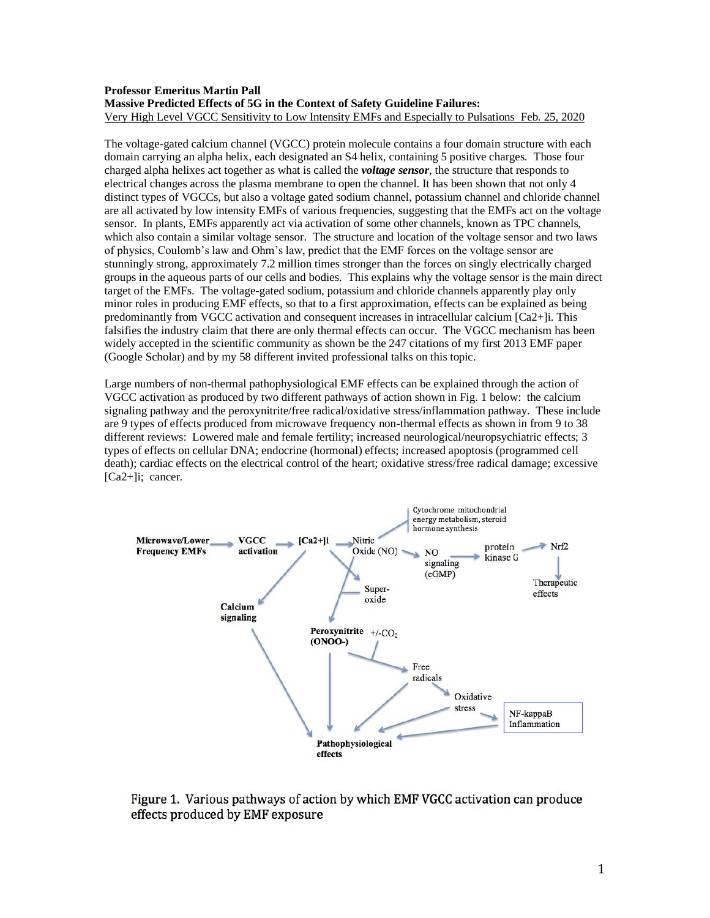# **Professor Emeritus Martin Pall Massive Predicted Effects of 5G in the Context of Safety Guideline Failures:** Very High Level VGCC Sensitivity to Low Intensity EMFs and Especially to Pulsations Feb. 25, 2020

The voltage-gated calcium channel (VGCC) protein molecule contains a four domain structure with each domain carrying an alpha helix, each designated an S4 helix, containing 5 positive charges. Those four charged alpha helixes act together as what is called the *voltage sensor*, the structure that responds to electrical changes across the plasma membrane to open the channel. It has been shown that not only 4 distinct types of VGCCs, but also a voltage gated sodium channel, potassium channel and chloride channel are all activated by low intensity EMFs of various frequencies, suggesting that the EMFs act on the voltage sensor. In plants, EMFs apparently act via activation of some other channels, known as TPC channels, which also contain a similar voltage sensor. The structure and location of the voltage sensor and two laws of physics, Coulomb's law and Ohm's law, predict that the EMF forces on the voltage sensor are stunningly strong, approximately 7.2 million times stronger than the forces on singly electrically charged groups in the aqueous parts of our cells and bodies. This explains why the voltage sensor is the main direct target of the EMFs. The voltage-gated sodium, potassium and chloride channels apparently play only minor roles in producing EMF effects, so that to a first approximation, effects can be explained as being predominantly from VGCC activation and consequent increases in intracellular calcium [Ca2+]i. This falsifies the industry claim that there are only thermal effects can occur. The VGCC mechanism has been widely accepted in the scientific community as shown be the 247 citations of my first 2013 EMF paper (Google Scholar) and by my 58 different invited professional talks on this topic.

Large numbers of non-thermal pathophysiological EMF effects can be explained through the action of VGCC activation as produced by two different pathways of action shown in Fig. 1 below: the calcium signaling pathway and the peroxynitrite/free radical/oxidative stress/inflammation pathway. These include are 9 types of effects produced from microwave frequency non-thermal effects as shown in from 9 to 38 different reviews: Lowered male and female fertility; increased neurological/neuropsychiatric effects; 3 types of effects on cellular DNA; endocrine (hormonal) effects; increased apoptosis (programmed cell death); cardiac effects on the electrical control of the heart; oxidative stress/free radical damage; excessive [Ca2+]i; cancer.



Figure 1. Various pathways of action by which EMF VGCC activation can produce effects produced by EMF exposure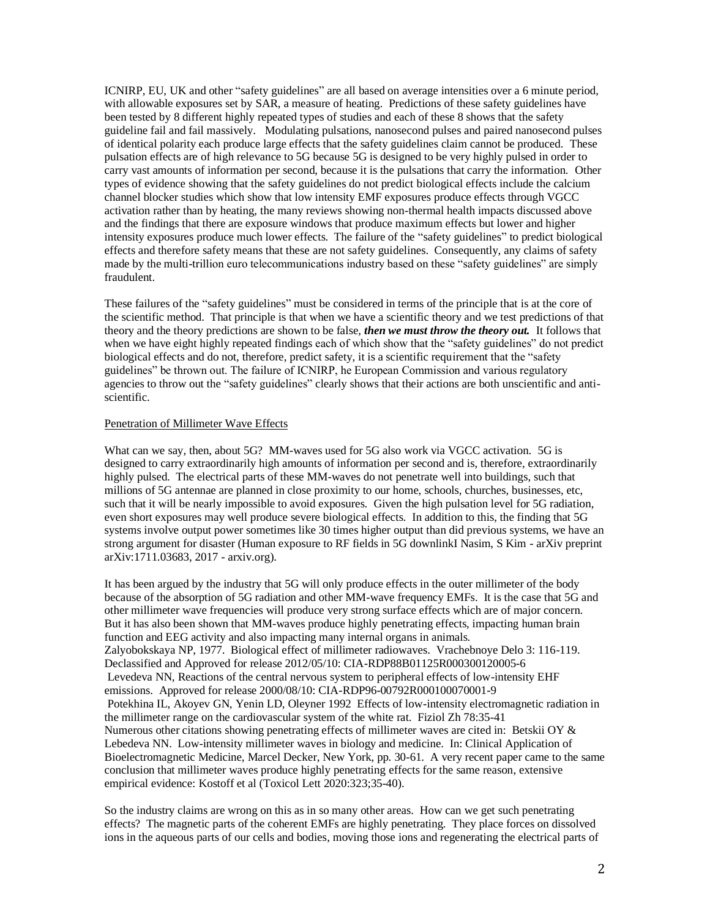ICNIRP, EU, UK and other "safety guidelines" are all based on average intensities over a 6 minute period, with allowable exposures set by SAR, a measure of heating. Predictions of these safety guidelines have been tested by 8 different highly repeated types of studies and each of these 8 shows that the safety guideline fail and fail massively. Modulating pulsations, nanosecond pulses and paired nanosecond pulses of identical polarity each produce large effects that the safety guidelines claim cannot be produced. These pulsation effects are of high relevance to 5G because 5G is designed to be very highly pulsed in order to carry vast amounts of information per second, because it is the pulsations that carry the information. Other types of evidence showing that the safety guidelines do not predict biological effects include the calcium channel blocker studies which show that low intensity EMF exposures produce effects through VGCC activation rather than by heating, the many reviews showing non-thermal health impacts discussed above and the findings that there are exposure windows that produce maximum effects but lower and higher intensity exposures produce much lower effects. The failure of the "safety guidelines" to predict biological effects and therefore safety means that these are not safety guidelines. Consequently, any claims of safety made by the multi-trillion euro telecommunications industry based on these "safety guidelines" are simply fraudulent.

These failures of the "safety guidelines" must be considered in terms of the principle that is at the core of the scientific method. That principle is that when we have a scientific theory and we test predictions of that theory and the theory predictions are shown to be false, *then we must throw the theory out.* It follows that when we have eight highly repeated findings each of which show that the "safety guidelines" do not predict biological effects and do not, therefore, predict safety, it is a scientific requirement that the "safety guidelines" be thrown out. The failure of ICNIRP, he European Commission and various regulatory agencies to throw out the "safety guidelines" clearly shows that their actions are both unscientific and antiscientific.

# Penetration of Millimeter Wave Effects

What can we say, then, about 5G? MM-waves used for 5G also work via VGCC activation. 5G is designed to carry extraordinarily high amounts of information per second and is, therefore, extraordinarily highly pulsed. The electrical parts of these MM-waves do not penetrate well into buildings, such that millions of 5G antennae are planned in close proximity to our home, schools, churches, businesses, etc, such that it will be nearly impossible to avoid exposures. Given the high pulsation level for 5G radiation, even short exposures may well produce severe biological effects. In addition to this, the finding that 5G systems involve output power sometimes like 30 times higher output than did previous systems, we have an strong argument for disaster (Human exposure to RF fields in 5G downlinkI Nasim, S Kim - arXiv preprint arXiv:1711.03683, 2017 - arxiv.org).

It has been argued by the industry that 5G will only produce effects in the outer millimeter of the body because of the absorption of 5G radiation and other MM-wave frequency EMFs. It is the case that 5G and other millimeter wave frequencies will produce very strong surface effects which are of major concern. But it has also been shown that MM-waves produce highly penetrating effects, impacting human brain function and EEG activity and also impacting many internal organs in animals. Zalyobokskaya NP, 1977. Biological effect of millimeter radiowaves. Vrachebnoye Delo 3: 116-119. Declassified and Approved for release 2012/05/10: CIA-RDP88B01125R000300120005-6 Levedeva NN, Reactions of the central nervous system to peripheral effects of low-intensity EHF emissions. Approved for release 2000/08/10: CIA-RDP96-00792R000100070001-9 Potekhina IL, Akoyev GN, Yenin LD, Oleyner 1992 Effects of low-intensity electromagnetic radiation in the millimeter range on the cardiovascular system of the white rat. Fiziol Zh 78:35-41 Numerous other citations showing penetrating effects of millimeter waves are cited in: Betskii OY & Lebedeva NN. Low-intensity millimeter waves in biology and medicine. In: Clinical Application of Bioelectromagnetic Medicine, Marcel Decker, New York, pp. 30-61. A very recent paper came to the same conclusion that millimeter waves produce highly penetrating effects for the same reason, extensive empirical evidence: Kostoff et al (Toxicol Lett 2020:323;35-40).

So the industry claims are wrong on this as in so many other areas. How can we get such penetrating effects? The magnetic parts of the coherent EMFs are highly penetrating. They place forces on dissolved ions in the aqueous parts of our cells and bodies, moving those ions and regenerating the electrical parts of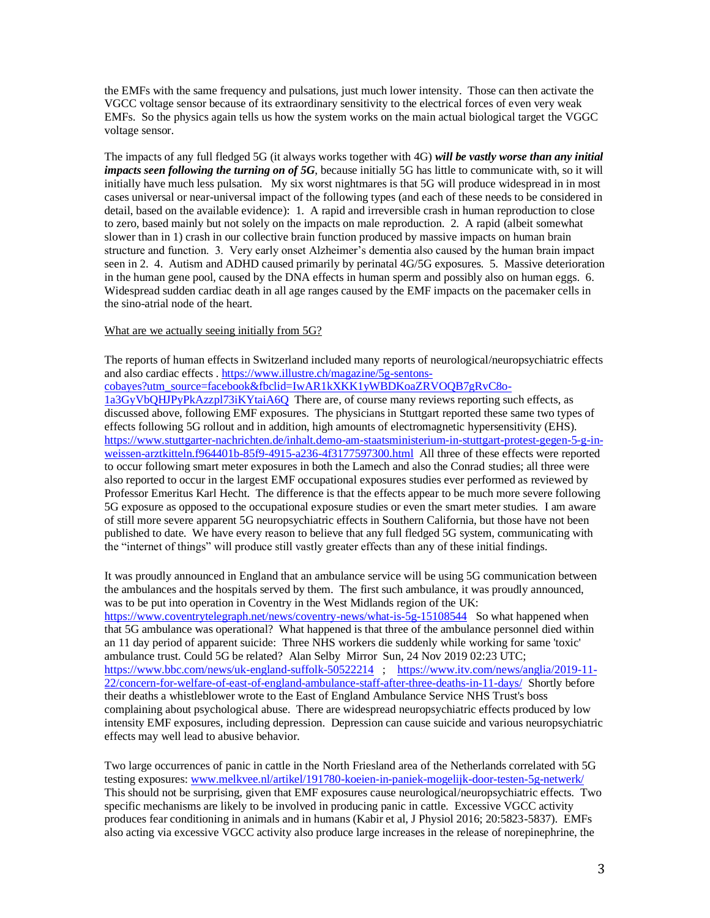the EMFs with the same frequency and pulsations, just much lower intensity. Those can then activate the VGCC voltage sensor because of its extraordinary sensitivity to the electrical forces of even very weak EMFs. So the physics again tells us how the system works on the main actual biological target the VGGC voltage sensor.

The impacts of any full fledged 5G (it always works together with 4G) *will be vastly worse than any initial impacts seen following the turning on of 5G*, because initially 5G has little to communicate with, so it will initially have much less pulsation. My six worst nightmares is that 5G will produce widespread in in most cases universal or near-universal impact of the following types (and each of these needs to be considered in detail, based on the available evidence): 1. A rapid and irreversible crash in human reproduction to close to zero, based mainly but not solely on the impacts on male reproduction. 2. A rapid (albeit somewhat slower than in 1) crash in our collective brain function produced by massive impacts on human brain structure and function. 3. Very early onset Alzheimer's dementia also caused by the human brain impact seen in 2. 4. Autism and ADHD caused primarily by perinatal 4G/5G exposures. 5. Massive deterioration in the human gene pool, caused by the DNA effects in human sperm and possibly also on human eggs. 6. Widespread sudden cardiac death in all age ranges caused by the EMF impacts on the pacemaker cells in the sino-atrial node of the heart.

#### What are we actually seeing initially from 5G?

The reports of human effects in Switzerland included many reports of neurological/neuropsychiatric effects and also cardiac effects . [https://www.illustre.ch/magazine/5g-sentons-](https://www.illustre.ch/magazine/5g-sentons-cobayes?utm_source=facebook&fbclid=IwAR1kXKK1yWBDKoaZRVOQB7gRvC8o-1a3GyVbQHJPyPkAzzpl73iKYtaiA6Q)

[cobayes?utm\\_source=facebook&fbclid=IwAR1kXKK1yWBDKoaZRVOQB7gRvC8o-](https://www.illustre.ch/magazine/5g-sentons-cobayes?utm_source=facebook&fbclid=IwAR1kXKK1yWBDKoaZRVOQB7gRvC8o-1a3GyVbQHJPyPkAzzpl73iKYtaiA6Q)

[1a3GyVbQHJPyPkAzzpl73iKYtaiA6Q](https://www.illustre.ch/magazine/5g-sentons-cobayes?utm_source=facebook&fbclid=IwAR1kXKK1yWBDKoaZRVOQB7gRvC8o-1a3GyVbQHJPyPkAzzpl73iKYtaiA6Q) There are, of course many reviews reporting such effects, as discussed above, following EMF exposures. The physicians in Stuttgart reported these same two types of effects following 5G rollout and in addition, high amounts of electromagnetic hypersensitivity (EHS). [https://www.stuttgarter-nachrichten.de/inhalt.demo-am-staatsministerium-in-stuttgart-protest-gegen-5-g-in](https://www.stuttgarter-nachrichten.de/inhalt.demo-am-staatsministerium-in-stuttgart-protest-gegen-5-g-in-weissen-arztkitteln.f964401b-85f9-4915-a236-4f3177597300.html)[weissen-arztkitteln.f964401b-85f9-4915-a236-4f3177597300.html](https://www.stuttgarter-nachrichten.de/inhalt.demo-am-staatsministerium-in-stuttgart-protest-gegen-5-g-in-weissen-arztkitteln.f964401b-85f9-4915-a236-4f3177597300.html) All three of these effects were reported to occur following smart meter exposures in both the Lamech and also the Conrad studies; all three were also reported to occur in the largest EMF occupational exposures studies ever performed as reviewed by Professor Emeritus Karl Hecht. The difference is that the effects appear to be much more severe following 5G exposure as opposed to the occupational exposure studies or even the smart meter studies. I am aware of still more severe apparent 5G neuropsychiatric effects in Southern California, but those have not been published to date. We have every reason to believe that any full fledged 5G system, communicating with the "internet of things" will produce still vastly greater effects than any of these initial findings.

It was proudly announced in England that an ambulance service will be using 5G communication between the ambulances and the hospitals served by them. The first such ambulance, it was proudly announced, was to be put into operation in Coventry in the West Midlands region of the UK: <https://www.coventrytelegraph.net/news/coventry-news/what-is-5g-15108544>So what happened when that 5G ambulance was operational? What happened is that three of the ambulance personnel died within an 11 day period of apparent suicide: Three NHS workers die suddenly while working for same 'toxic' ambulance trust. Could 5G be related? Alan Selby Mirror Sun, 24 Nov 2019 02:23 UTC; <https://www.bbc.com/news/uk-england-suffolk-50522214>; [https://www.itv.com/news/anglia/2019-11-](https://www.itv.com/news/anglia/2019-11-22/concern-for-welfare-of-east-of-england-ambulance-staff-after-three-deaths-in-11-days/) [22/concern-for-welfare-of-east-of-england-ambulance-staff-after-three-deaths-in-11-days/](https://www.itv.com/news/anglia/2019-11-22/concern-for-welfare-of-east-of-england-ambulance-staff-after-three-deaths-in-11-days/) Shortly before their deaths a whistleblower wrote to the East of England Ambulance Service NHS Trust's boss complaining about psychological abuse. There are widespread neuropsychiatric effects produced by low intensity EMF exposures, including depression. Depression can cause suicide and various neuropsychiatric effects may well lead to abusive behavior.

Two large occurrences of panic in cattle in the North Friesland area of the Netherlands correlated with 5G testing exposures[: www.melkvee.nl/artikel/191780-koeien-in-paniek-mogelijk-door-testen-5g-netwerk/](http://www.melkvee.nl/artikel/191780-koeien-in-paniek-mogelijk-door-testen-5g-netwerk/)  This should not be surprising, given that EMF exposures cause neurological/neuropsychiatric effects. Two specific mechanisms are likely to be involved in producing panic in cattle. Excessive VGCC activity produces fear conditioning in animals and in humans (Kabir et al, J Physiol 2016; 20:5823-5837). EMFs also acting via excessive VGCC activity also produce large increases in the release of norepinephrine, the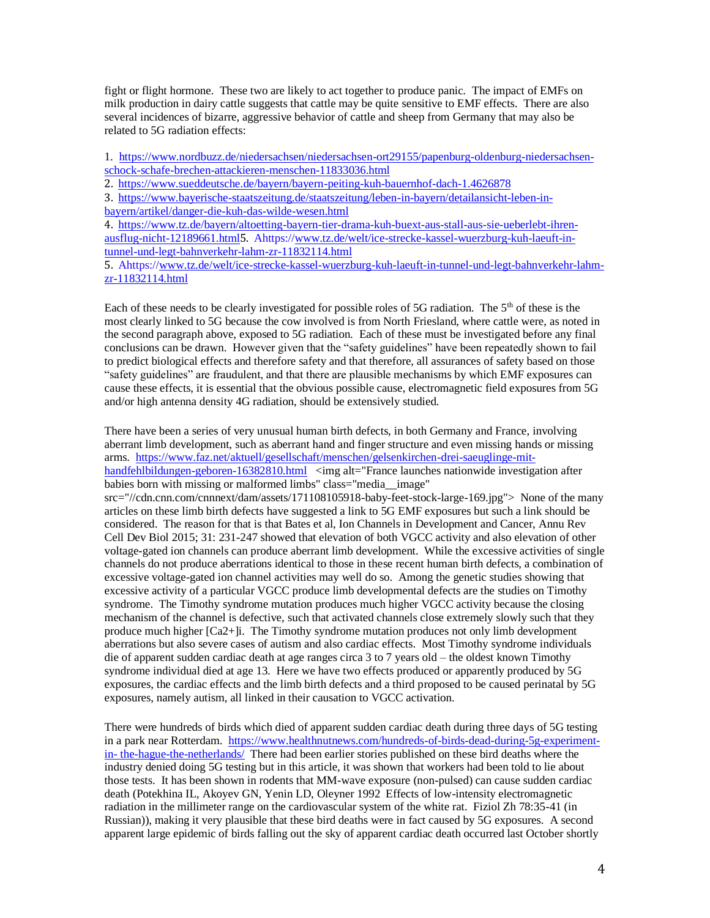fight or flight hormone. These two are likely to act together to produce panic. The impact of EMFs on milk production in dairy cattle suggests that cattle may be quite sensitive to EMF effects. There are also several incidences of bizarre, aggressive behavior of cattle and sheep from Germany that may also be related to 5G radiation effects:

1. [https://www.nordbuzz.de/niedersachsen/niedersachsen-ort29155/papenburg-oldenburg-niedersachsen](https://urldefense.proofpoint.com/v2/url?u=https-3A__www.nordbuzz.de_niedersachsen_niedersachsen-2Dort29155_papenburg-2Doldenburg-2Dniedersachsen-2Dschock-2Dschafe-2Dbrechen-2Dattackieren-2Dmenschen-2D11833036.html&d=DwMFAg&c=C3yme8gMkxg_ihJNXS06ZyWk4EJm8LdrrvxQb-Je7sw&r=W1YGZ07SbOeyl6vHlhO0du13mo9dEOBJmyu-ykYY10c&m=72IG9W0OBmzqNOpW5IMOJVtbvCTbffvUVaJ91YAFmJo&s=Kp-OK9yn49fqWL09reAgIJ4ejcFyfX7SB-QoNqIc9ZQ&e=)[schock-schafe-brechen-attackieren-menschen-11833036.html](https://urldefense.proofpoint.com/v2/url?u=https-3A__www.nordbuzz.de_niedersachsen_niedersachsen-2Dort29155_papenburg-2Doldenburg-2Dniedersachsen-2Dschock-2Dschafe-2Dbrechen-2Dattackieren-2Dmenschen-2D11833036.html&d=DwMFAg&c=C3yme8gMkxg_ihJNXS06ZyWk4EJm8LdrrvxQb-Je7sw&r=W1YGZ07SbOeyl6vHlhO0du13mo9dEOBJmyu-ykYY10c&m=72IG9W0OBmzqNOpW5IMOJVtbvCTbffvUVaJ91YAFmJo&s=Kp-OK9yn49fqWL09reAgIJ4ejcFyfX7SB-QoNqIc9ZQ&e=)

2. [https://www.sueddeutsche.de/bayern/bayern-peiting-kuh-bauernhof-dach-1.4626878](https://urldefense.proofpoint.com/v2/url?u=https-3A__www.sueddeutsche.de_bayern_bayern-2Dpeiting-2Dkuh-2Dbauernhof-2Ddach-2D1.4626878&d=DwMFAg&c=C3yme8gMkxg_ihJNXS06ZyWk4EJm8LdrrvxQb-Je7sw&r=W1YGZ07SbOeyl6vHlhO0du13mo9dEOBJmyu-ykYY10c&m=72IG9W0OBmzqNOpW5IMOJVtbvCTbffvUVaJ91YAFmJo&s=vYaOS04b9xYDHAC9-vmzxJ-ZKJxcJavivDICtOnpScc&e=)

3. [https://www.bayerische-staatszeitung.de/staatszeitung/leben-in-bayern/detailansicht-leben-in-](https://urldefense.proofpoint.com/v2/url?u=https-3A__www.bayerische-2Dstaatszeitung.de_staatszeitung_leben-2Din-2Dbayern_detailansicht-2Dleben-2Din-2Dbayern_artikel_danger-2Ddie-2Dkuh-2Ddas-2Dwilde-2Dwesen.html&d=DwMFAg&c=C3yme8gMkxg_ihJNXS06ZyWk4EJm8LdrrvxQb-Je7sw&r=W1YGZ07SbOeyl6vHlhO0du13mo9dEOBJmyu-ykYY10c&m=72IG9W0OBmzqNOpW5IMOJVtbvCTbffvUVaJ91YAFmJo&s=j4v_KYuHGSZjZflRmx1ZoQHfqe-lNRiLqIpVX9DUuy8&e=)

[bayern/artikel/danger-die-kuh-das-wilde-wesen.html](https://urldefense.proofpoint.com/v2/url?u=https-3A__www.bayerische-2Dstaatszeitung.de_staatszeitung_leben-2Din-2Dbayern_detailansicht-2Dleben-2Din-2Dbayern_artikel_danger-2Ddie-2Dkuh-2Ddas-2Dwilde-2Dwesen.html&d=DwMFAg&c=C3yme8gMkxg_ihJNXS06ZyWk4EJm8LdrrvxQb-Je7sw&r=W1YGZ07SbOeyl6vHlhO0du13mo9dEOBJmyu-ykYY10c&m=72IG9W0OBmzqNOpW5IMOJVtbvCTbffvUVaJ91YAFmJo&s=j4v_KYuHGSZjZflRmx1ZoQHfqe-lNRiLqIpVX9DUuy8&e=)

4. [https://www.tz.de/bayern/altoetting-bayern-tier-drama-kuh-buext-aus-stall-aus-sie-ueberlebt-ihren](https://urldefense.proofpoint.com/v2/url?u=https-3A__www.tz.de_bayern_altoetting-2Dbayern-2Dtier-2Ddrama-2Dkuh-2Dbuext-2Daus-2Dstall-2Daus-2Dsie-2Dueberlebt-2Dihren-2Dausflug-2Dnicht-2D12189661.html&d=DwMFAg&c=C3yme8gMkxg_ihJNXS06ZyWk4EJm8LdrrvxQb-Je7sw&r=W1YGZ07SbOeyl6vHlhO0du13mo9dEOBJmyu-ykYY10c&m=72IG9W0OBmzqNOpW5IMOJVtbvCTbffvUVaJ91YAFmJo&s=Q9opiLXxaEyVPSpLSpI2V--vj4rn5x5Od-9q2H_Mkhs&e=)[ausflug-nicht-12189661.html](https://urldefense.proofpoint.com/v2/url?u=https-3A__www.tz.de_bayern_altoetting-2Dbayern-2Dtier-2Ddrama-2Dkuh-2Dbuext-2Daus-2Dstall-2Daus-2Dsie-2Dueberlebt-2Dihren-2Dausflug-2Dnicht-2D12189661.html&d=DwMFAg&c=C3yme8gMkxg_ihJNXS06ZyWk4EJm8LdrrvxQb-Je7sw&r=W1YGZ07SbOeyl6vHlhO0du13mo9dEOBJmyu-ykYY10c&m=72IG9W0OBmzqNOpW5IMOJVtbvCTbffvUVaJ91YAFmJo&s=Q9opiLXxaEyVPSpLSpI2V--vj4rn5x5Od-9q2H_Mkhs&e=)5. Ahttps:/[/www.tz.de/welt/ice-strecke-kassel-wuerzburg-kuh-laeuft-in](https://urldefense.proofpoint.com/v2/url?u=http-3A__www.tz.de_welt_ice-2Dstrecke-2Dkassel-2Dwuerzburg-2Dkuh-2Dlaeuft-2Din-2Dtunnel-2Dund-2Dlegt-2Dbahnverkehr-2Dlahm-2Dzr-2D11832114.html&d=DwMFAg&c=C3yme8gMkxg_ihJNXS06ZyWk4EJm8LdrrvxQb-Je7sw&r=W1YGZ07SbOeyl6vHlhO0du13mo9dEOBJmyu-ykYY10c&m=72IG9W0OBmzqNOpW5IMOJVtbvCTbffvUVaJ91YAFmJo&s=u1a8LEuKG8h9JfzDFjS8jqFkSJUNAf9OdfO-8-lBdN4&e=)[tunnel-und-legt-bahnverkehr-lahm-zr-11832114.html](https://urldefense.proofpoint.com/v2/url?u=http-3A__www.tz.de_welt_ice-2Dstrecke-2Dkassel-2Dwuerzburg-2Dkuh-2Dlaeuft-2Din-2Dtunnel-2Dund-2Dlegt-2Dbahnverkehr-2Dlahm-2Dzr-2D11832114.html&d=DwMFAg&c=C3yme8gMkxg_ihJNXS06ZyWk4EJm8LdrrvxQb-Je7sw&r=W1YGZ07SbOeyl6vHlhO0du13mo9dEOBJmyu-ykYY10c&m=72IG9W0OBmzqNOpW5IMOJVtbvCTbffvUVaJ91YAFmJo&s=u1a8LEuKG8h9JfzDFjS8jqFkSJUNAf9OdfO-8-lBdN4&e=)

5. Ahttps:/[/www.tz.de/welt/ice-strecke-kassel-wuerzburg-kuh-laeuft-in-tunnel-und-legt-bahnverkehr-lahm](https://urldefense.proofpoint.com/v2/url?u=http-3A__www.tz.de_welt_ice-2Dstrecke-2Dkassel-2Dwuerzburg-2Dkuh-2Dlaeuft-2Din-2Dtunnel-2Dund-2Dlegt-2Dbahnverkehr-2Dlahm-2Dzr-2D11832114.html&d=DwMFAg&c=C3yme8gMkxg_ihJNXS06ZyWk4EJm8LdrrvxQb-Je7sw&r=W1YGZ07SbOeyl6vHlhO0du13mo9dEOBJmyu-ykYY10c&m=72IG9W0OBmzqNOpW5IMOJVtbvCTbffvUVaJ91YAFmJo&s=u1a8LEuKG8h9JfzDFjS8jqFkSJUNAf9OdfO-8-lBdN4&e=)[zr-11832114.html](https://urldefense.proofpoint.com/v2/url?u=http-3A__www.tz.de_welt_ice-2Dstrecke-2Dkassel-2Dwuerzburg-2Dkuh-2Dlaeuft-2Din-2Dtunnel-2Dund-2Dlegt-2Dbahnverkehr-2Dlahm-2Dzr-2D11832114.html&d=DwMFAg&c=C3yme8gMkxg_ihJNXS06ZyWk4EJm8LdrrvxQb-Je7sw&r=W1YGZ07SbOeyl6vHlhO0du13mo9dEOBJmyu-ykYY10c&m=72IG9W0OBmzqNOpW5IMOJVtbvCTbffvUVaJ91YAFmJo&s=u1a8LEuKG8h9JfzDFjS8jqFkSJUNAf9OdfO-8-lBdN4&e=)

Each of these needs to be clearly investigated for possible roles of 5G radiation. The  $5<sup>th</sup>$  of these is the most clearly linked to 5G because the cow involved is from North Friesland, where cattle were, as noted in the second paragraph above, exposed to 5G radiation. Each of these must be investigated before any final conclusions can be drawn. However given that the "safety guidelines" have been repeatedly shown to fail to predict biological effects and therefore safety and that therefore, all assurances of safety based on those "safety guidelines" are fraudulent, and that there are plausible mechanisms by which EMF exposures can cause these effects, it is essential that the obvious possible cause, electromagnetic field exposures from 5G and/or high antenna density 4G radiation, should be extensively studied.

There have been a series of very unusual human birth defects, in both Germany and France, involving aberrant limb development, such as aberrant hand and finger structure and even missing hands or missing arms. [https://www.faz.net/aktuell/gesellschaft/menschen/gelsenkirchen-drei-saeuglinge-mit](https://www.faz.net/aktuell/gesellschaft/menschen/gelsenkirchen-drei-saeuglinge-mit-handfehlbildungen-geboren-16382810.html)[handfehlbildungen-geboren-16382810.html](https://www.faz.net/aktuell/gesellschaft/menschen/gelsenkirchen-drei-saeuglinge-mit-handfehlbildungen-geboren-16382810.html) <img alt="France launches nationwide investigation after babies born with missing or malformed limbs" class="media\_\_image" src="//cdn.cnn.com/cnnnext/dam/assets/171108105918-baby-feet-stock-large-169.jpg"> None of the many articles on these limb birth defects have suggested a link to 5G EMF exposures but such a link should be considered. The reason for that is that Bates et al, Ion Channels in Development and Cancer, Annu Rev Cell Dev Biol 2015; 31: 231-247 showed that elevation of both VGCC activity and also elevation of other voltage-gated ion channels can produce aberrant limb development. While the excessive activities of single channels do not produce aberrations identical to those in these recent human birth defects, a combination of excessive voltage-gated ion channel activities may well do so. Among the genetic studies showing that excessive activity of a particular VGCC produce limb developmental defects are the studies on Timothy syndrome. The Timothy syndrome mutation produces much higher VGCC activity because the closing mechanism of the channel is defective, such that activated channels close extremely slowly such that they produce much higher [Ca2+]i. The Timothy syndrome mutation produces not only limb development aberrations but also severe cases of autism and also cardiac effects. Most Timothy syndrome individuals die of apparent sudden cardiac death at age ranges circa 3 to 7 years old – the oldest known Timothy syndrome individual died at age 13. Here we have two effects produced or apparently produced by 5G exposures, the cardiac effects and the limb birth defects and a third proposed to be caused perinatal by 5G exposures, namely autism, all linked in their causation to VGCC activation.

There were hundreds of birds which died of apparent sudden cardiac death during three days of 5G testing in a park near Rotterdam. [https://www.healthnutnews.com/hundreds-of-birds-dead-during-5g-experiment](https://www.healthnutnews.com/hundreds-of-birds-dead-during-5g-experiment-in-%20the-hague-the-netherlands/)in- [the-hague-the-netherlands/](https://www.healthnutnews.com/hundreds-of-birds-dead-during-5g-experiment-in-%20the-hague-the-netherlands/) There had been earlier stories published on these bird deaths where the industry denied doing 5G testing but in this article, it was shown that workers had been told to lie about those tests. It has been shown in rodents that MM-wave exposure (non-pulsed) can cause sudden cardiac death (Potekhina IL, Akoyev GN, Yenin LD, Oleyner 1992 Effects of low-intensity electromagnetic radiation in the millimeter range on the cardiovascular system of the white rat. Fiziol Zh 78:35-41 (in Russian)), making it very plausible that these bird deaths were in fact caused by 5G exposures. A second apparent large epidemic of birds falling out the sky of apparent cardiac death occurred last October shortly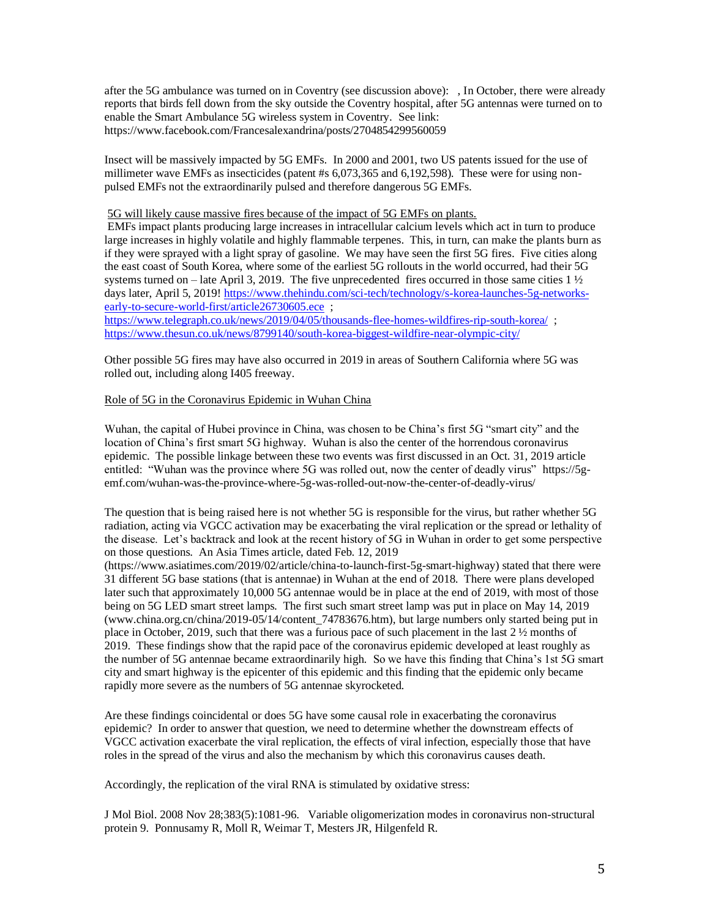after the 5G ambulance was turned on in Coventry (see discussion above): , In October, there were already reports that birds fell down from the sky outside the Coventry hospital, after 5G antennas were turned on to enable the Smart Ambulance 5G wireless system in Coventry. See link: https://www.facebook.com/Francesalexandrina/posts/2704854299560059

Insect will be massively impacted by 5G EMFs. In 2000 and 2001, two US patents issued for the use of millimeter wave EMFs as insecticides (patent #s 6,073,365 and 6,192,598). These were for using nonpulsed EMFs not the extraordinarily pulsed and therefore dangerous 5G EMFs.

## 5G will likely cause massive fires because of the impact of 5G EMFs on plants.

EMFs impact plants producing large increases in intracellular calcium levels which act in turn to produce large increases in highly volatile and highly flammable terpenes. This, in turn, can make the plants burn as if they were sprayed with a light spray of gasoline. We may have seen the first 5G fires. Five cities along the east coast of South Korea, where some of the earliest 5G rollouts in the world occurred, had their 5G systems turned on – late April 3, 2019. The five unprecedented fires occurred in those same cities  $1\frac{1}{2}$ days later, April 5, 2019! [https://www.thehindu.com/sci-tech/technology/s-korea-launches-5g-networks](https://www.thehindu.com/sci-tech/technology/s-korea-launches-5g-networks-early-to-secure-world-first/article26730605.ece)[early-to-secure-world-first/article26730605.ece](https://www.thehindu.com/sci-tech/technology/s-korea-launches-5g-networks-early-to-secure-world-first/article26730605.ece) ;

https://www.telegraph.co.uk/news/2019/04/05/thousands-flee-homes-wildfires-rip-south-korea/; <https://www.thesun.co.uk/news/8799140/south-korea-biggest-wildfire-near-olympic-city/>

Other possible 5G fires may have also occurred in 2019 in areas of Southern California where 5G was rolled out, including along I405 freeway.

### Role of 5G in the Coronavirus Epidemic in Wuhan China

Wuhan, the capital of Hubei province in China, was chosen to be China's first 5G "smart city" and the location of China's first smart 5G highway. Wuhan is also the center of the horrendous coronavirus epidemic. The possible linkage between these two events was first discussed in an Oct. 31, 2019 article entitled: "Wuhan was the province where 5G was rolled out, now the center of deadly virus" https://5gemf.com/wuhan-was-the-province-where-5g-was-rolled-out-now-the-center-of-deadly-virus/

The question that is being raised here is not whether 5G is responsible for the virus, but rather whether 5G radiation, acting via VGCC activation may be exacerbating the viral replication or the spread or lethality of the disease. Let's backtrack and look at the recent history of 5G in Wuhan in order to get some perspective on those questions. An Asia Times article, dated Feb. 12, 2019

(https://www.asiatimes.com/2019/02/article/china-to-launch-first-5g-smart-highway) stated that there were 31 different 5G base stations (that is antennae) in Wuhan at the end of 2018. There were plans developed later such that approximately 10,000 5G antennae would be in place at the end of 2019, with most of those being on 5G LED smart street lamps. The first such smart street lamp was put in place on May 14, 2019 (www.china.org.cn/china/2019-05/14/content\_74783676.htm), but large numbers only started being put in place in October, 2019, such that there was a furious pace of such placement in the last 2 ½ months of 2019. These findings show that the rapid pace of the coronavirus epidemic developed at least roughly as the number of 5G antennae became extraordinarily high. So we have this finding that China's 1st 5G smart city and smart highway is the epicenter of this epidemic and this finding that the epidemic only became rapidly more severe as the numbers of 5G antennae skyrocketed.

Are these findings coincidental or does 5G have some causal role in exacerbating the coronavirus epidemic? In order to answer that question, we need to determine whether the downstream effects of VGCC activation exacerbate the viral replication, the effects of viral infection, especially those that have roles in the spread of the virus and also the mechanism by which this coronavirus causes death.

Accordingly, the replication of the viral RNA is stimulated by oxidative stress:

J Mol Biol. 2008 Nov 28;383(5):1081-96. Variable oligomerization modes in coronavirus non-structural protein 9. Ponnusamy R, Moll R, Weimar T, Mesters JR, Hilgenfeld R.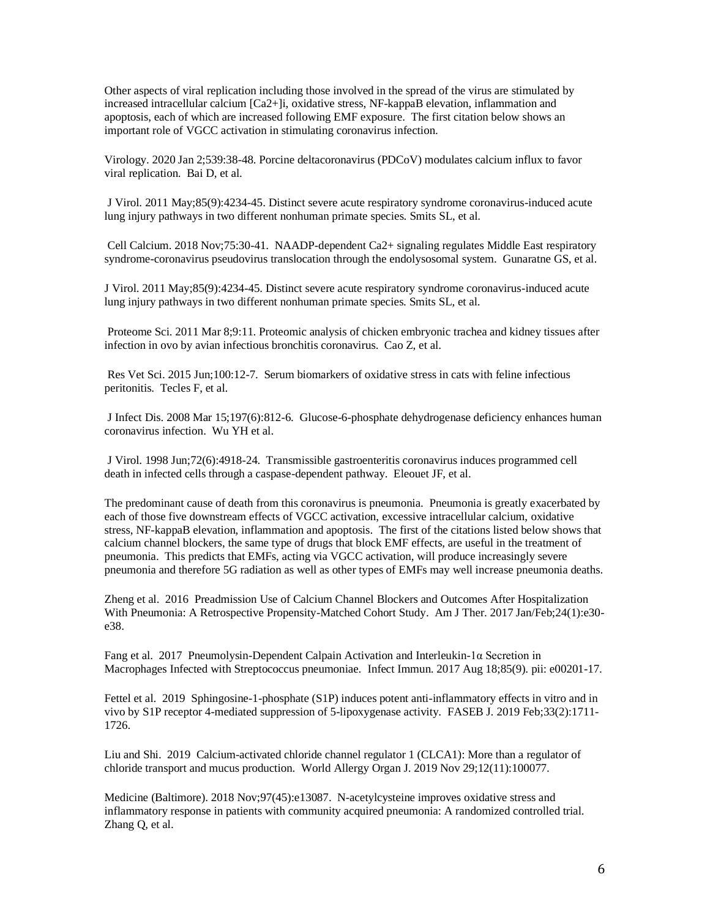Other aspects of viral replication including those involved in the spread of the virus are stimulated by increased intracellular calcium [Ca2+]i, oxidative stress, NF-kappaB elevation, inflammation and apoptosis, each of which are increased following EMF exposure. The first citation below shows an important role of VGCC activation in stimulating coronavirus infection.

Virology. 2020 Jan 2;539:38-48. Porcine deltacoronavirus (PDCoV) modulates calcium influx to favor viral replication. Bai D, et al.

J Virol. 2011 May;85(9):4234-45. Distinct severe acute respiratory syndrome coronavirus-induced acute lung injury pathways in two different nonhuman primate species. Smits SL, et al.

Cell Calcium. 2018 Nov;75:30-41. NAADP-dependent Ca2+ signaling regulates Middle East respiratory syndrome-coronavirus pseudovirus translocation through the endolysosomal system. Gunaratne GS, et al.

J Virol. 2011 May;85(9):4234-45. Distinct severe acute respiratory syndrome coronavirus-induced acute lung injury pathways in two different nonhuman primate species. Smits SL, et al.

Proteome Sci. 2011 Mar 8;9:11. Proteomic analysis of chicken embryonic trachea and kidney tissues after infection in ovo by avian infectious bronchitis coronavirus. Cao Z, et al.

Res Vet Sci. 2015 Jun;100:12-7. Serum biomarkers of oxidative stress in cats with feline infectious peritonitis. Tecles F, et al.

J Infect Dis. 2008 Mar 15;197(6):812-6. Glucose-6-phosphate dehydrogenase deficiency enhances human coronavirus infection. Wu YH et al.

J Virol. 1998 Jun;72(6):4918-24. Transmissible gastroenteritis coronavirus induces programmed cell death in infected cells through a caspase-dependent pathway. Eleouet JF, et al.

The predominant cause of death from this coronavirus is pneumonia. Pneumonia is greatly exacerbated by each of those five downstream effects of VGCC activation, excessive intracellular calcium, oxidative stress, NF-kappaB elevation, inflammation and apoptosis. The first of the citations listed below shows that calcium channel blockers, the same type of drugs that block EMF effects, are useful in the treatment of pneumonia. This predicts that EMFs, acting via VGCC activation, will produce increasingly severe pneumonia and therefore 5G radiation as well as other types of EMFs may well increase pneumonia deaths.

Zheng et al. 2016 Preadmission Use of Calcium Channel Blockers and Outcomes After Hospitalization With Pneumonia: A Retrospective Propensity-Matched Cohort Study. Am J Ther. 2017 Jan/Feb;24(1):e30 e38.

Fang et al. 2017 Pneumolysin-Dependent Calpain Activation and Interleukin-1α Secretion in Macrophages Infected with Streptococcus pneumoniae. Infect Immun. 2017 Aug 18;85(9). pii: e00201-17.

Fettel et al. 2019 Sphingosine-1-phosphate (S1P) induces potent anti-inflammatory effects in vitro and in vivo by S1P receptor 4-mediated suppression of 5-lipoxygenase activity. FASEB J. 2019 Feb;33(2):1711- 1726.

Liu and Shi. 2019 Calcium-activated chloride channel regulator 1 (CLCA1): More than a regulator of chloride transport and mucus production. World Allergy Organ J. 2019 Nov 29;12(11):100077.

Medicine (Baltimore). 2018 Nov;97(45):e13087. N-acetylcysteine improves oxidative stress and inflammatory response in patients with community acquired pneumonia: A randomized controlled trial. Zhang Q, et al.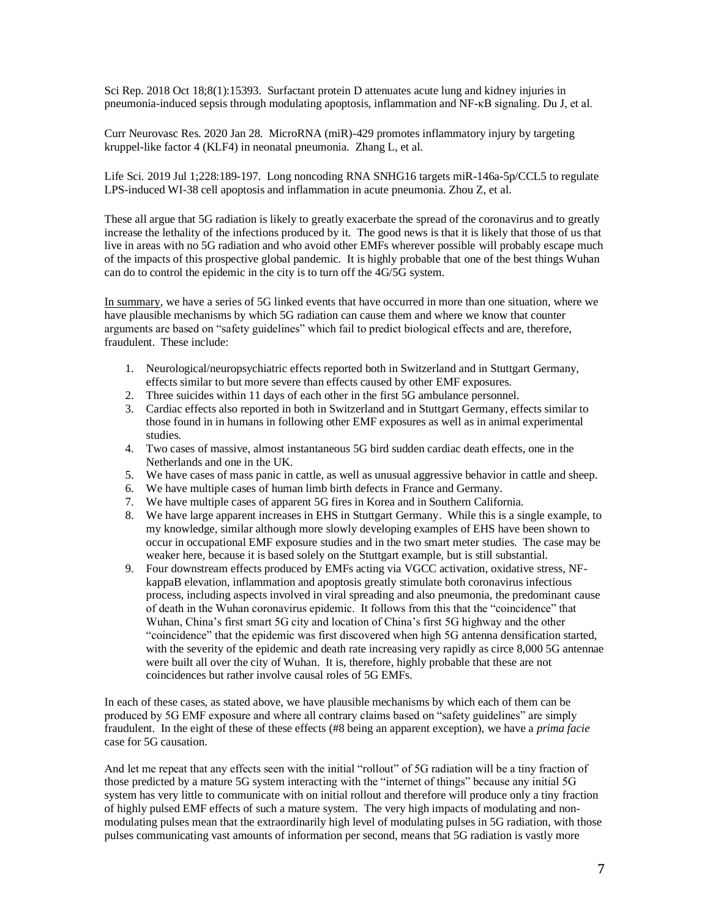Sci Rep. 2018 Oct 18;8(1):15393. Surfactant protein D attenuates acute lung and kidney injuries in pneumonia-induced sepsis through modulating apoptosis, inflammation and NF-κB signaling. Du J, et al.

Curr Neurovasc Res. 2020 Jan 28. MicroRNA (miR)-429 promotes inflammatory injury by targeting kruppel-like factor 4 (KLF4) in neonatal pneumonia. Zhang L, et al.

Life Sci. 2019 Jul 1;228:189-197. Long noncoding RNA SNHG16 targets miR-146a-5p/CCL5 to regulate LPS-induced WI-38 cell apoptosis and inflammation in acute pneumonia. Zhou Z, et al.

These all argue that 5G radiation is likely to greatly exacerbate the spread of the coronavirus and to greatly increase the lethality of the infections produced by it. The good news is that it is likely that those of us that live in areas with no 5G radiation and who avoid other EMFs wherever possible will probably escape much of the impacts of this prospective global pandemic. It is highly probable that one of the best things Wuhan can do to control the epidemic in the city is to turn off the 4G/5G system.

In summary, we have a series of 5G linked events that have occurred in more than one situation, where we have plausible mechanisms by which 5G radiation can cause them and where we know that counter arguments are based on "safety guidelines" which fail to predict biological effects and are, therefore, fraudulent. These include:

- 1. Neurological/neuropsychiatric effects reported both in Switzerland and in Stuttgart Germany, effects similar to but more severe than effects caused by other EMF exposures.
- 2. Three suicides within 11 days of each other in the first 5G ambulance personnel.
- 3. Cardiac effects also reported in both in Switzerland and in Stuttgart Germany, effects similar to those found in in humans in following other EMF exposures as well as in animal experimental studies.
- 4. Two cases of massive, almost instantaneous 5G bird sudden cardiac death effects, one in the Netherlands and one in the UK.
- 5. We have cases of mass panic in cattle, as well as unusual aggressive behavior in cattle and sheep.
- 6. We have multiple cases of human limb birth defects in France and Germany.
- 7. We have multiple cases of apparent 5G fires in Korea and in Southern California.
- 8. We have large apparent increases in EHS in Stuttgart Germany. While this is a single example, to my knowledge, similar although more slowly developing examples of EHS have been shown to occur in occupational EMF exposure studies and in the two smart meter studies. The case may be weaker here, because it is based solely on the Stuttgart example, but is still substantial.
- 9. Four downstream effects produced by EMFs acting via VGCC activation, oxidative stress, NFkappaB elevation, inflammation and apoptosis greatly stimulate both coronavirus infectious process, including aspects involved in viral spreading and also pneumonia, the predominant cause of death in the Wuhan coronavirus epidemic. It follows from this that the "coincidence" that Wuhan, China's first smart 5G city and location of China's first 5G highway and the other "coincidence" that the epidemic was first discovered when high 5G antenna densification started, with the severity of the epidemic and death rate increasing very rapidly as circe 8,000 5G antennae were built all over the city of Wuhan. It is, therefore, highly probable that these are not coincidences but rather involve causal roles of 5G EMFs.

In each of these cases, as stated above, we have plausible mechanisms by which each of them can be produced by 5G EMF exposure and where all contrary claims based on "safety guidelines" are simply fraudulent. In the eight of these of these effects (#8 being an apparent exception), we have a *prima facie* case for 5G causation.

And let me repeat that any effects seen with the initial "rollout" of 5G radiation will be a tiny fraction of those predicted by a mature 5G system interacting with the "internet of things" because any initial 5G system has very little to communicate with on initial rollout and therefore will produce only a tiny fraction of highly pulsed EMF effects of such a mature system. The very high impacts of modulating and nonmodulating pulses mean that the extraordinarily high level of modulating pulses in 5G radiation, with those pulses communicating vast amounts of information per second, means that 5G radiation is vastly more